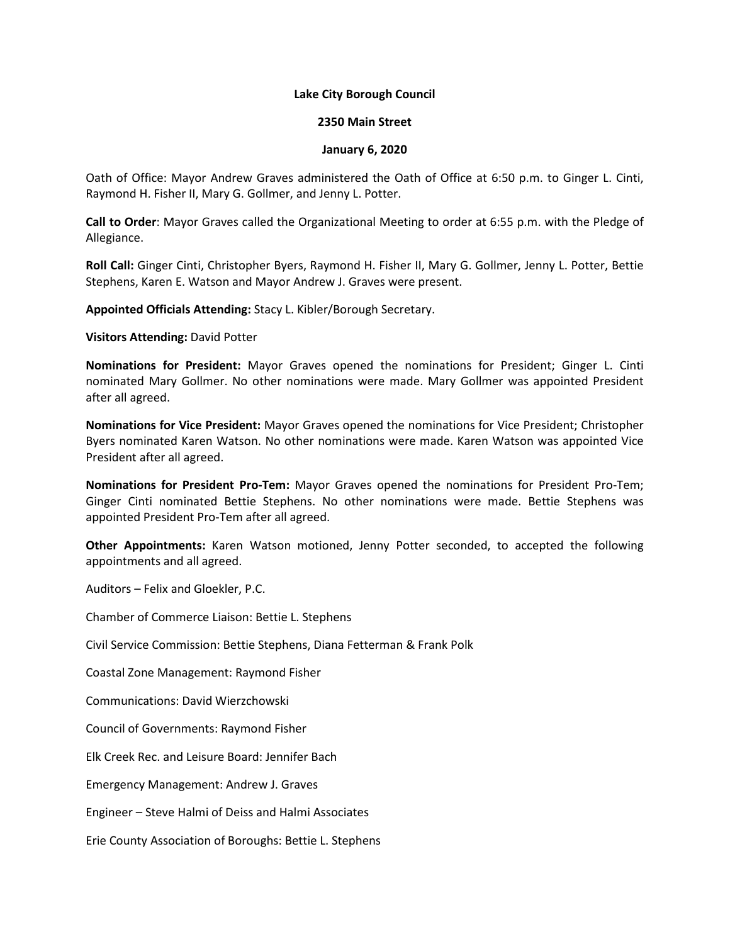## **Lake City Borough Council**

## **2350 Main Street**

## **January 6, 2020**

Oath of Office: Mayor Andrew Graves administered the Oath of Office at 6:50 p.m. to Ginger L. Cinti, Raymond H. Fisher II, Mary G. Gollmer, and Jenny L. Potter.

**Call to Order**: Mayor Graves called the Organizational Meeting to order at 6:55 p.m. with the Pledge of Allegiance.

**Roll Call:** Ginger Cinti, Christopher Byers, Raymond H. Fisher II, Mary G. Gollmer, Jenny L. Potter, Bettie Stephens, Karen E. Watson and Mayor Andrew J. Graves were present.

**Appointed Officials Attending:** Stacy L. Kibler/Borough Secretary.

**Visitors Attending:** David Potter

**Nominations for President:** Mayor Graves opened the nominations for President; Ginger L. Cinti nominated Mary Gollmer. No other nominations were made. Mary Gollmer was appointed President after all agreed.

**Nominations for Vice President:** Mayor Graves opened the nominations for Vice President; Christopher Byers nominated Karen Watson. No other nominations were made. Karen Watson was appointed Vice President after all agreed.

**Nominations for President Pro-Tem:** Mayor Graves opened the nominations for President Pro-Tem; Ginger Cinti nominated Bettie Stephens. No other nominations were made. Bettie Stephens was appointed President Pro-Tem after all agreed.

**Other Appointments:** Karen Watson motioned, Jenny Potter seconded, to accepted the following appointments and all agreed.

Auditors – Felix and Gloekler, P.C.

Chamber of Commerce Liaison: Bettie L. Stephens

Civil Service Commission: Bettie Stephens, Diana Fetterman & Frank Polk

Coastal Zone Management: Raymond Fisher

Communications: David Wierzchowski

Council of Governments: Raymond Fisher

Elk Creek Rec. and Leisure Board: Jennifer Bach

Emergency Management: Andrew J. Graves

Engineer – Steve Halmi of Deiss and Halmi Associates

Erie County Association of Boroughs: Bettie L. Stephens